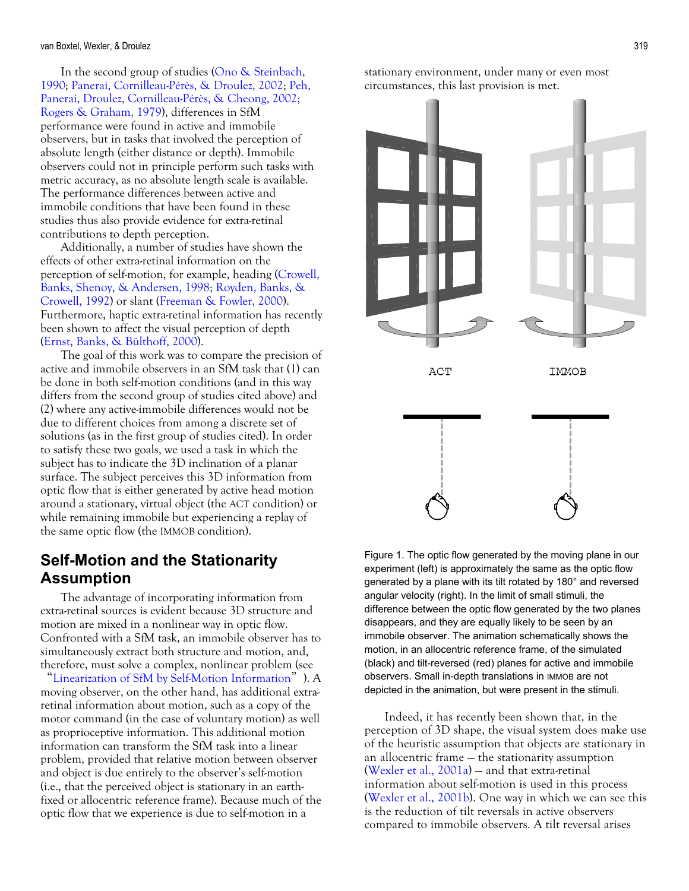#### <span id="page-1-0"></span>van Boxtel, Wexler, & Droulez 319

In the second group of studies ([Ono & Steinbach,](#page-14-0)  [1990](#page-14-0); [Panerai, Cornilleau-Pérès, & Droulez, 2002; Peh,](#page-14-0)  [Panerai, Droulez, Cornilleau-Pérès, & Cheong, 2002;](#page-14-0) [Rogers & Graham, 1979\)](#page-14-0), differences in SfM performance were found in active and immobile observers, but in tasks that involved the perception of absolute length (either distance or depth). Immobile observers could not in principle perform such tasks with metric accuracy, as no absolute length scale is available. The performance differences between active and immobile conditions that have been found in these studies thus also provide evidence for extra-retinal contributions to depth perception.

Additionally, a number of studies have shown the effects of other extra-retinal information on the perception of self-motion, for example, heading [\(Crowell,](#page-13-0)  [Banks, Shenoy, & Andersen, 1998](#page-13-0); [Royden, Banks, &](#page-14-0)  [Crowell, 1992\)](#page-14-0) or slant ([Freeman & Fowler, 2000](#page-14-0)). Furthermore, haptic extra-retinal information has recently been shown to affect the visual perception of depth [\(Ernst, Banks, & Bülthoff, 2000](#page-14-0)).

The goal of this work was to compare the precision of active and immobile observers in an SfM task that (1) can be done in both self-motion conditions (and in this way differs from the second group of studies cited above) and (2) where any active-immobile differences would not be due to different choices from among a discrete set of solutions (as in the first group of studies cited). In order to satisfy these two goals, we used a task in which the subject has to indicate the 3D inclination of a planar surface. The subject perceives this 3D information from optic flow that is either generated by active head motion around a stationary, virtual object (the ACT condition) or while remaining immobile but experiencing a replay of the same optic flow (the IMMOB condition).

## **Self-Motion and the Stationarity Assumption**

The advantage of incorporating information from extra-retinal sources is evident because 3D structure and motion are mixed in a nonlinear way in optic flow. Confronted with a SfM task, an immobile observer has to simultaneously extract both structure and motion, and, therefore, must solve a complex, nonlinear problem (see

"[Linearization of SfM by Self-Motion Information](#page-10-0)"). A moving observer, on the other hand, has additional extraretinal information about motion, such as a copy of the motor command (in the case of voluntary motion) as well as proprioceptive information. This additional motion information can transform the SfM task into a linear problem, provided that relative motion between observer and object is due entirely to the observer's self-motion (i.e., that the perceived object is stationary in an earthfixed or allocentric reference frame). Because much of the optic flow that we experience is due to self-motion in a

stationary environment, under many or even most circumstances, this last provision is met.



Figure 1. The optic flow generated by the moving plane in our experiment (left) is approximately the same as the optic flow generated by a plane with its tilt rotated by 180° and reversed angular velocity (right). In the limit of small stimuli, the difference between the optic flow generated by the two planes disappears, and they are equally likely to be seen by an immobile observer. The animation schematically shows the motion, in an allocentric reference frame, of the simulated (black) and tilt-reversed (red) planes for active and immobile observers. Small in-depth translations in IMMOB are not depicted in the animation, but were present in the stimuli.

Indeed, it has recently been shown that, in the perception of 3D shape, the visual system does make use of the heuristic assumption that objects are stationary in an allocentric frame — the stationarity assumption [\(Wexler et al.,](#page-14-0) 2001a) — and that extra-retinal information about self-motion is used in this process [\(Wexler et al.,](#page-14-0) 2001b). One way in which we can see this is the reduction of tilt reversals in active observers compared to immobile observers. A tilt reversal arises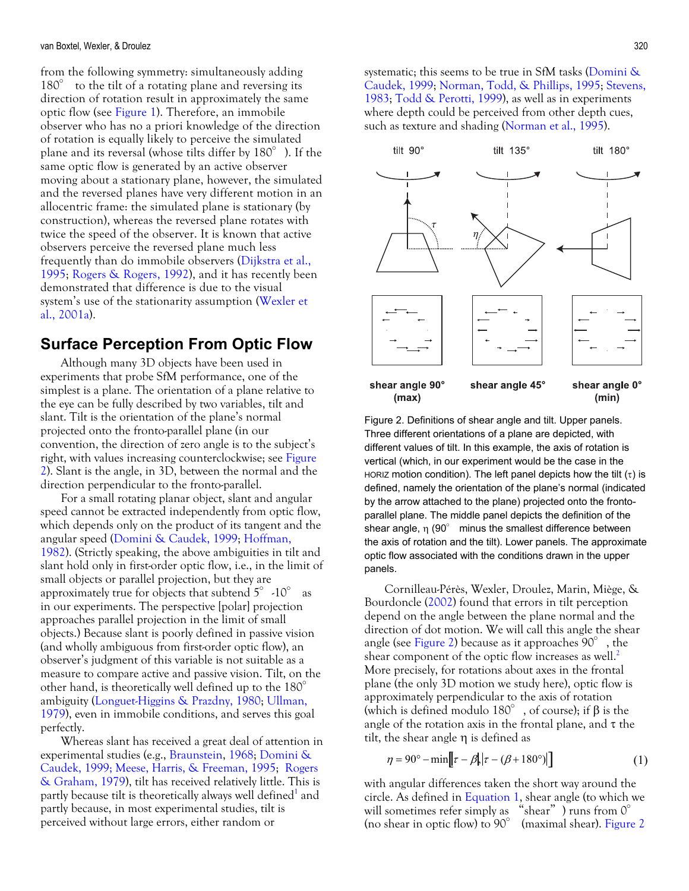from the following symmetry: simultaneously adding 180° to the tilt of a rotating plane and reversing its direction of rotation result in approximately the same optic flow (see [Figure 1](#page-1-0)). Therefore, an immobile observer who has no a priori knowledge of the direction of rotation is equally likely to perceive the simulated plane and its reversal (whose tilts differ by 180°). If the same optic flow is generated by an active observer moving about a stationary plane, however, the simulated and the reversed planes have very different motion in an allocentric frame: the simulated plane is stationary (by construction), whereas the reversed plane rotates with twice the speed of the observer. It is known that active observers perceive the reversed plane much less frequently than do immobile observers [\(Dijkstra et al.,](#page-14-0)  [1995; Rogers & Rogers, 1992\)](#page-14-0), and it has recently been demonstrated that difference is due to the visual system's use of the stationarity assumption ([Wexler et](#page-14-0)  al., [2001a](#page-14-0)).

### **Surface Perception From Optic Flow**

Although many 3D objects have been used in experiments that probe SfM performance, one of the simplest is a plane. The orientation of a plane relative to the eye can be fully described by two variables, tilt and slant. Tilt is the orientation of the plane's normal projected onto the fronto-parallel plane (in our convention, the direction of zero angle is to the subject's right, with values increasing counterclockwise; see [Figure](#page-3-0)  [2](#page-3-0)). Slant is the angle, in 3D, between the normal and the direction perpendicular to the fronto-parallel.

For a small rotating planar object, slant and angular speed cannot be extracted independently from optic flow, which depends only on the product of its tangent and the angular speed [\(Domini & Caudek, 1999](#page-14-0); [Hoffman,](#page-14-0)  [1982](#page-14-0)). (Strictly speaking, the above ambiguities in tilt and slant hold only in first-order optic flow, i.e., in the limit of small objects or parallel projection, but they are approximately true for objects that subtend  $5^\circ$  -10° as in our experiments. The perspective [polar] projection approaches parallel projection in the limit of small objects.) Because slant is poorly defined in passive vision (and wholly ambiguous from first-order optic flow), an observer's judgment of this variable is not suitable as a measure to compare active and passive vision. Tilt, on the other hand, is theoretically well defined up to the 180° ambiguity [\(Longuet-Higgins & Prazdny, 1980; Ullman,](#page-14-0)  [1979](#page-14-0)), even in immobile conditions, and serves this goal perfectly.

Whereas slant has received a great deal of attention in experimental studies (e.g., Braunstein, [1968](#page-13-0); Domini & Caudek, 1999; Meese, Harris, & Freeman, [1995](#page-14-0); [Rogers](#page-14-0)  [& Graham, 1979](#page-14-0)), tilt has received relatively little. This is partly because tilt is theoretically always well defined<sup>[1](#page-13-0)</sup> and partly because, in most experimental studies, tilt is perceived without large errors, either random or

systematic; this seems to be true in SfM tasks [\(Domini &](#page-14-0)  [Caudek, 1999](#page-14-0); [Norman, Todd, & Phillips, 1995; Stevens,](#page-14-0)  [1983](#page-14-0); [Todd & Perotti, 1999\)](#page-14-0), as well as in experiments where depth could be perceived from other depth cues, such as texture and shading [\(Norman et al., 1995\)](#page-14-0).



Figure 2. Definitions of shear angle and tilt. Upper panels. Three different orientations of a plane are depicted, with different values of tilt. In this example, the axis of rotation is vertical (which, in our experiment would be the case in the HORIZ motion condition). The left panel depicts how the tilt  $(\tau)$  is defined, namely the orientation of the plane's normal (indicated by the arrow attached to the plane) projected onto the frontoparallel plane. The middle panel depicts the definition of the shear angle,  $\eta$  (90° minus the smallest difference between the axis of rotation and the tilt). Lower panels*.* The approximate optic flow associated with the conditions drawn in the upper panels.

Cornilleau-Pérès, Wexler, Droulez, Marin, Miège, & Bourdoncle ([2002\)](#page-13-0) found that errors in tilt perception depend on the angle between the plane normal and the direction of dot motion. We will call this angle the shear angle (see [Figure 2\)](#page-3-0) because as it approaches 90°, the shear component of the optic flow increases as well.<sup>[2](#page-13-0)</sup> More precisely, for rotations about axes in the frontal plane (the only 3D motion we study here), optic flow is approximately perpendicular to the axis of rotation (which is defined modulo  $180^\circ$ , of course); if  $\beta$  is the angle of the rotation axis in the frontal plane, and  $\tau$  the tilt, the shear angle η is defined as

$$
\eta = 90^{\circ} - \min[\left|\tau - \beta_{\mathsf{P}}\right| \left|\tau - (\beta + 180^{\circ})\right|] \tag{1}
$$

with angular differences taken the short way around the circle. As defined in Equation 1, shear angle (to which we will sometimes refer simply as "shear") runs from  $0^{\circ}$ (no shear in optic flow) to 90° (maximal shear). [Figure 2](#page-3-0)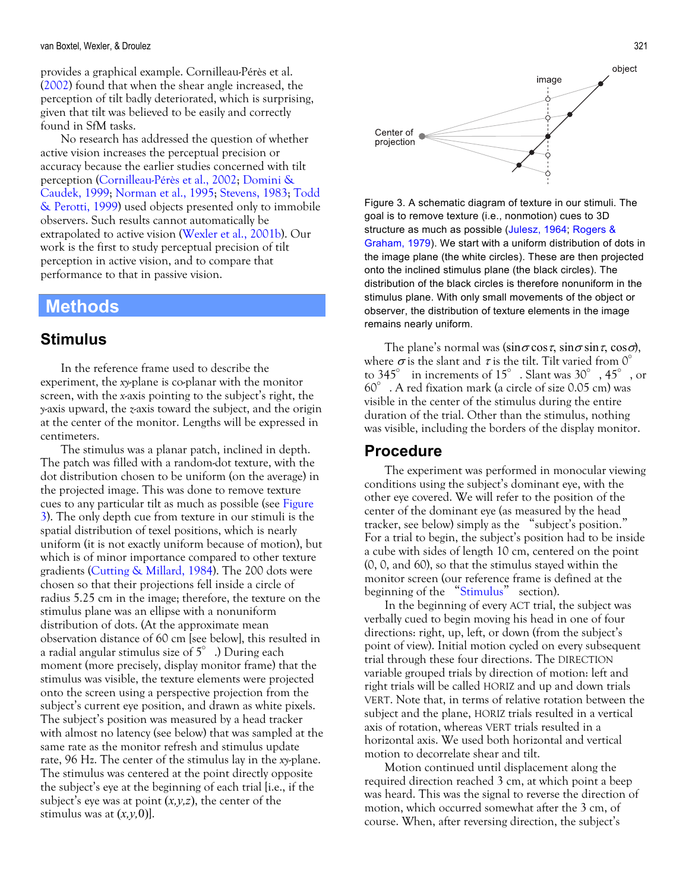#### <span id="page-3-0"></span>van Boxtel, Wexler, & Droulez 321

provides a graphical example. Cornilleau-Pérès et al. [\(2002](#page-13-0)) found that when the shear angle increased, the perception of tilt badly deteriorated, which is surprising, given that tilt was believed to be easily and correctly found in SfM tasks.

No research has addressed the question of whether active vision increases the perceptual precision or accuracy because the earlier studies concerned with tilt perception [\(Cornilleau-Pérès et al., 2002](#page-13-0); [Domini &](#page-14-0)  [Caudek, 1999](#page-14-0); [Norman et al., 1995](#page-14-0); [Stevens, 1983;](#page-14-0) [Todd](#page-14-0)  [& Perotti, 1999\)](#page-14-0) used objects presented only to immobile observers. Such results cannot automatically be extrapolated to active vision [\(Wexler et al.,](#page-14-0) 2001b). Our work is the first to study perceptual precision of tilt perception in active vision, and to compare that performance to that in passive vision.

# **Methods**

In the reference frame used to describe the experiment, the *xy*-plane is co-planar with the monitor screen, with the *x*-axis pointing to the subject's right, the *y*-axis upward, the *z*-axis toward the subject, and the origin at the center of the monitor. Lengths will be expressed in centimeters.

The stimulus was a planar patch, inclined in depth. **Procedure** The patch was filled with a random-dot texture, with the dot distribution chosen to be uniform (on the average) in the projected image. This was done to remove texture cues to any particular tilt as much as possible (see Figure 3). The only depth cue from texture in our stimuli is the spatial distribution of texel positions, which is nearly uniform (it is not exactly uniform because of motion), but which is of minor importance compared to other texture gradients [\(Cutting & Millard, 1984](#page-13-0)). The 200 dots were chosen so that their projections fell inside a circle of radius 5.25 cm in the image; therefore, the texture on the stimulus plane was an ellipse with a nonuniform distribution of dots. (At the approximate mean observation distance of 60 cm [see below], this resulted in a radial angular stimulus size of 5°.) During each moment (more precisely, display monitor frame) that the stimulus was visible, the texture elements were projected onto the screen using a perspective projection from the subject's current eye position, and drawn as white pixels. The subject's position was measured by a head tracker with almost no latency (see below) that was sampled at the same rate as the monitor refresh and stimulus update rate, 96 Hz. The center of the stimulus lay in the *xy*-plane. The stimulus was centered at the point directly opposite the subject's eye at the beginning of each trial [i.e., if the subject's eye was at point (*x,y,z*), the center of the stimulus was at (*x,y,*0)].



Figure 3. A schematic diagram of texture in our stimuli. The goal is to remove texture (i.e., nonmotion) cues to 3D structure as much as possible [\(Julesz, 1964; Rogers &](#page-14-0)  [Graham, 1979\)](#page-14-0). We start with a uniform distribution of dots in the image plane (the white circles). These are then projected onto the inclined stimulus plane (the black circles). The distribution of the black circles is therefore nonuniform in the stimulus plane. With only small movements of the object or observer, the distribution of texture elements in the image remains nearly uniform.

**Stimulus Stimulus The plane's normal was (sin** $\sigma$  **cos** $\tau$ , sin $\sigma$  sin $\tau$ , cos $\sigma$ ), where  $\sigma$  is the slant and  $\tau$  is the tilt. Tilt varied from  $0^{\circ}$ to 345° in increments of 15°. Slant was 30°, 45°, or 60°. A red fixation mark (a circle of size 0.05 cm) was visible in the center of the stimulus during the entire duration of the trial. Other than the stimulus, nothing was visible, including the borders of the display monitor.

The experiment was performed in monocular viewing conditions using the subject's dominant eye, with the other eye covered. We will refer to the position of the center of the dominant eye (as measured by the head tracker, see below) simply as the "subject's position." For a trial to begin, the subject's position had to be inside a cube with sides of length 10 cm, centered on the point (0, 0, and 60), so that the stimulus stayed within the monitor screen (our reference frame is defined at the beginning of the "Stimulus" section).

In the beginning of every ACT trial, the subject was verbally cued to begin moving his head in one of four directions: right, up, left, or down (from the subject's point of view). Initial motion cycled on every subsequent trial through these four directions. The DIRECTION variable grouped trials by direction of motion: left and right trials will be called HORIZ and up and down trials VERT. Note that, in terms of relative rotation between the subject and the plane, HORIZ trials resulted in a vertical axis of rotation, whereas VERT trials resulted in a horizontal axis. We used both horizontal and vertical motion to decorrelate shear and tilt.

Motion continued until displacement along the required direction reached 3 cm, at which point a beep was heard. This was the signal to reverse the direction of motion, which occurred somewhat after the 3 cm, of course. When, after reversing direction, the subject's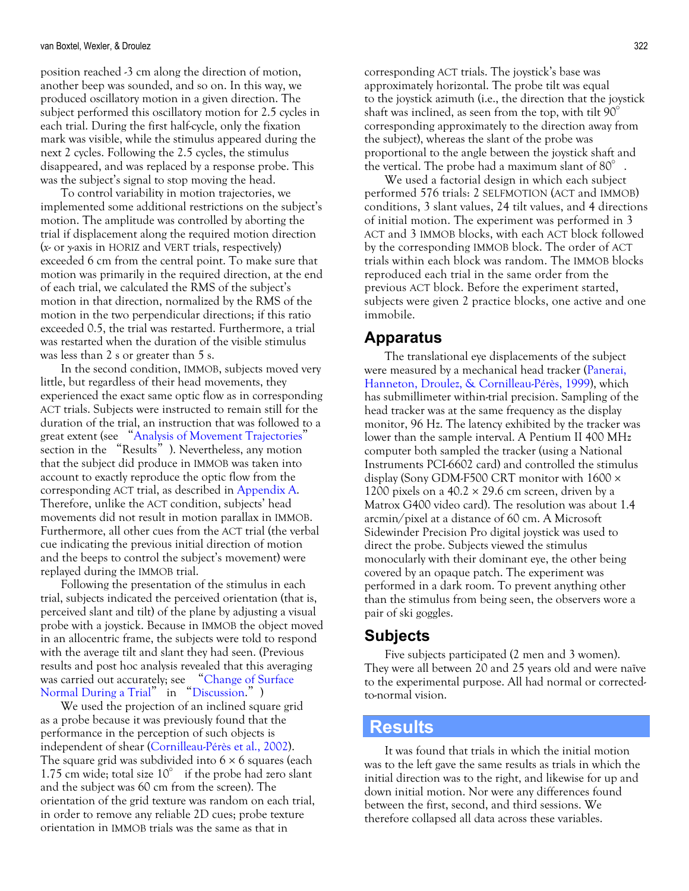<span id="page-4-0"></span>position reached -3 cm along the direction of motion, another beep was sounded, and so on. In this way, we produced oscillatory motion in a given direction. The subject performed this oscillatory motion for 2.5 cycles in each trial. During the first half-cycle, only the fixation mark was visible, while the stimulus appeared during the next 2 cycles. Following the 2.5 cycles, the stimulus disappeared, and was replaced by a response probe. This was the subject's signal to stop moving the head.

To control variability in motion trajectories, we implemented some additional restrictions on the subject's motion. The amplitude was controlled by aborting the trial if displacement along the required motion direction (*x*- or *y*-axis in HORIZ and VERT trials, respectively) exceeded 6 cm from the central point. To make sure that motion was primarily in the required direction, at the end of each trial, we calculated the RMS of the subject's motion in that direction, normalized by the RMS of the motion in the two perpendicular directions; if this ratio exceeded 0.5, the trial was restarted. Furthermore, a trial was restarted when the duration of the visible stimulus was less than 2 s or greater than 5 s.

In the second condition, IMMOB, subjects moved very little, but regardless of their head movements, they experienced the exact same optic flow as in corresponding ACT trials. Subjects were instructed to remain still for the duration of the trial, an instruction that was followed to a great extent (see "[Analysis of Movement Trajectories](#page-8-0)" section in the "Results"). Nevertheless, any motion that the subject did produce in IMMOB was taken into account to exactly reproduce the optic flow from the corresponding ACT trial, as described in [Appendix A.](#page-11-0) Therefore, unlike the ACT condition, subjects' head movements did not result in motion parallax in IMMOB. Furthermore, all other cues from the ACT trial (the verbal cue indicating the previous initial direction of motion and the beeps to control the subject's movement) were replayed during the IMMOB trial.

Following the presentation of the stimulus in each trial, subjects indicated the perceived orientation (that is, perceived slant and tilt) of the plane by adjusting a visual probe with a joystick. Because in IMMOB the object moved in an allocentric frame, the subjects were told to respond with the average tilt and slant they had seen. (Previous results and post hoc analysis revealed that this averaging was carried out accurately; see "[Change of Surface](#page-8-0)  [Normal During a Trial](#page-8-0)" in "[Discussion.](#page-8-0)")

We used the projection of an inclined square grid as a probe because it was previously found that the performance in the perception of such objects is independent of shear ([Cornilleau-Pérès et al., 2002](#page-13-0)). The square grid was subdivided into  $6 \times 6$  squares (each 1.75 cm wide; total size  $10^{\circ}$  if the probe had zero slant and the subject was 60 cm from the screen). The orientation of the grid texture was random on each trial, in order to remove any reliable 2D cues; probe texture orientation in IMMOB trials was the same as that in

corresponding ACT trials. The joystick's base was approximately horizontal. The probe tilt was equal to the joystick azimuth (i.e., the direction that the joystick shaft was inclined, as seen from the top, with tilt 90° corresponding approximately to the direction away from the subject), whereas the slant of the probe was proportional to the angle between the joystick shaft and the vertical. The probe had a maximum slant of 80°.

We used a factorial design in which each subject performed 576 trials: 2 SELFMOTION (ACT and IMMOB) conditions, 3 slant values, 24 tilt values, and 4 directions of initial motion. The experiment was performed in 3 ACT and 3 IMMOB blocks, with each ACT block followed by the corresponding IMMOB block. The order of ACT trials within each block was random. The IMMOB blocks reproduced each trial in the same order from the previous ACT block. Before the experiment started, subjects were given 2 practice blocks, one active and one immobile.

#### **Apparatus**

The translational eye displacements of the subject were measured by a mechanical head tracker ([Panerai,](#page-14-0)  [Hanneton, Droulez, & Cornilleau-Pérès, 1999](#page-14-0)), which has submillimeter within-trial precision. Sampling of the head tracker was at the same frequency as the display monitor, 96 Hz. The latency exhibited by the tracker was lower than the sample interval. A Pentium II 400 MHz computer both sampled the tracker (using a National Instruments PCI-6602 card) and controlled the stimulus display (Sony GDM-F500 CRT monitor with 1600 × 1200 pixels on a  $40.2 \times 29.6$  cm screen, driven by a Matrox G400 video card). The resolution was about 1.4 arcmin/pixel at a distance of 60 cm. A Microsoft Sidewinder Precision Pro digital joystick was used to direct the probe. Subjects viewed the stimulus monocularly with their dominant eye, the other being covered by an opaque patch. The experiment was performed in a dark room. To prevent anything other than the stimulus from being seen, the observers wore a pair of ski goggles.

# **Subjects**

Five subjects participated (2 men and 3 women). They were all between 20 and 25 years old and were naïve to the experimental purpose. All had normal or correctedto-normal vision.

### **Results**

It was found that trials in which the initial motion was to the left gave the same results as trials in which the initial direction was to the right, and likewise for up and down initial motion. Nor were any differences found between the first, second, and third sessions. We therefore collapsed all data across these variables.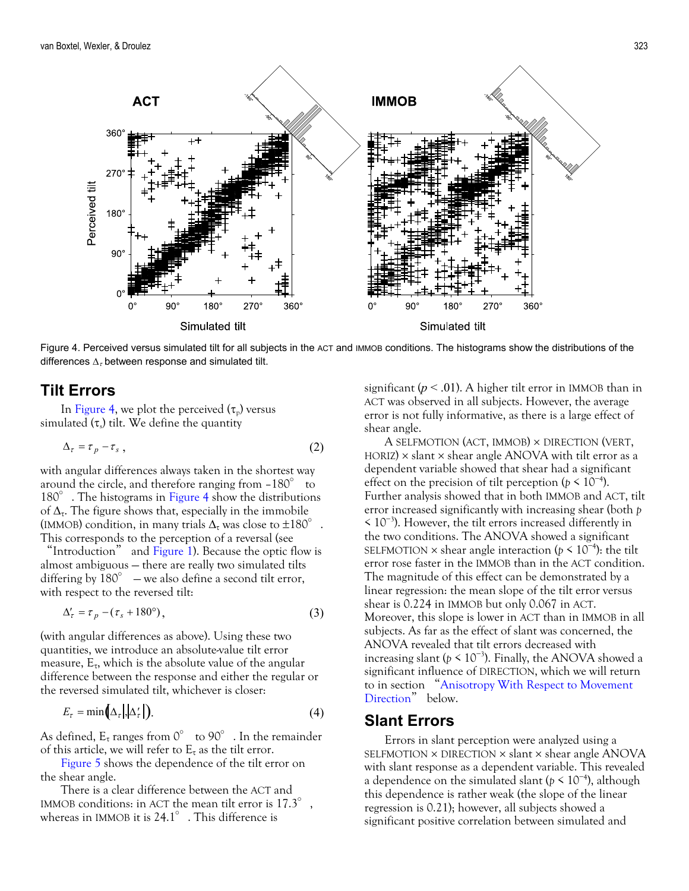<span id="page-5-0"></span>

Figure 4. Perceived versus simulated tilt for all subjects in the ACT and IMMOB conditions. The histograms show the distributions of the differences  $\Delta_z$  between response and simulated tilt.

#### **Tilt Errors**

In Figure 4, we plot the perceived  $(\tau_p)$  versus simulated  $(\tau_s)$  tilt. We define the quantity

$$
\Delta_{\tau} = \tau_p - \tau_s \tag{2}
$$

with angular differences always taken in the shortest way around the circle, and therefore ranging from –180° to 180°. The histograms in Figure 4 show the distributions of  $\Delta_{\tau}$ . The figure shows that, especially in the immobile (IMMOB) condition, in many trials  $\Delta_{\tau}$  was close to  $\pm 180^{\circ}$ . This corresponds to the perception of a reversal (see

"Introduction" and [Figure 1](#page-1-0)). Because the optic flow is almost ambiguous — there are really two simulated tilts differing by  $180^\circ$  — we also define a second tilt error, with respect to the reversed tilt:

$$
\Delta_{\tau}^{\prime} = \tau_p - (\tau_s + 180^\circ), \tag{3}
$$

(with angular differences as above). Using these two quantities, we introduce an absolute-value tilt error measure,  $E_t$ , which is the absolute value of the angular difference between the response and either the regular or the reversed simulated tilt, whichever is closer:

$$
E_{\tau} = \min\left(\Delta_{\tau} \big| \big| \Delta_{\tau}' \big| \right). \tag{4}
$$

As defined,  $E_{\tau}$  ranges from  $0^{\circ}$  to  $90^{\circ}$ . In the remainder of this article, we will refer to  $E_{\tau}$  as the tilt error.

[Figure 5](#page-6-0) shows the dependence of the tilt error on the shear angle.

There is a clear difference between the ACT and IMMOB conditions: in ACT the mean tilt error is 17.3° whereas in IMMOB it is  $24.1^\circ$ . This difference is

significant  $(p < .01)$ . A higher tilt error in IMMOB than in ACT was observed in all subjects. However, the average error is not fully informative, as there is a large effect of shear angle.

A SELFMOTION (ACT, IMMOB) × DIRECTION (VERT, HORIZ)  $\times$  slant  $\times$  shear angle ANOVA with tilt error as a dependent variable showed that shear had a significant effect on the precision of tilt perception ( $p \leq 10^{-4}$ ). Further analysis showed that in both IMMOB and ACT, tilt error increased significantly with increasing shear (both *p*  < 10<sup>−</sup><sup>3</sup> ). However, the tilt errors increased differently in the two conditions. The ANOVA showed a significant SELFMOTION  $\times$  shear angle interaction ( $p \leq 10^{-4}$ ): the tilt error rose faster in the IMMOB than in the ACT condition. The magnitude of this effect can be demonstrated by a linear regression: the mean slope of the tilt error versus shear is 0.224 in IMMOB but only 0.067 in ACT. Moreover, this slope is lower in ACT than in IMMOB in all subjects. As far as the effect of slant was concerned, the ANOVA revealed that tilt errors decreased with increasing slant ( $p < 10^{-3}$ ). Finally, the ANOVA showed a significant influence of DIRECTION, which we will return to in section "[Anisotropy With Respect to Movement](#page-8-0)  [Direction](#page-8-0)" below.

#### **Slant Errors**

Errors in slant perception were analyzed using a SELFMOTION × DIRECTION × slant × shear angle ANOVA with slant response as a dependent variable. This revealed a dependence on the simulated slant ( $p \leq 10^{-4}$ ), although this dependence is rather weak (the slope of the linear regression is 0.21); however, all subjects showed a significant positive correlation between simulated and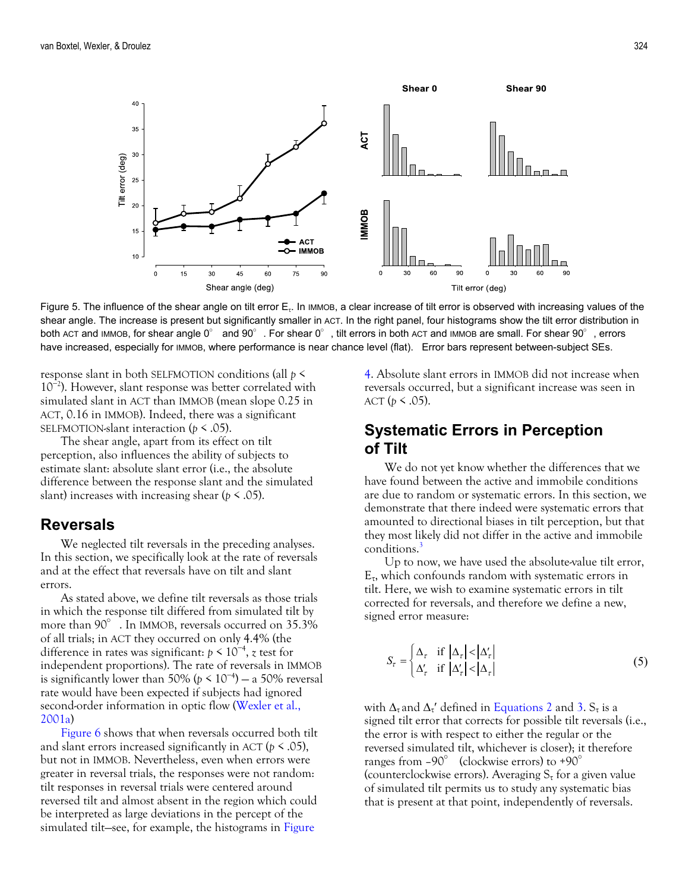<span id="page-6-0"></span>

Figure 5. The influence of the shear angle on tilt error  $E_t$ . In IMMOB, a clear increase of tilt error is observed with increasing values of the shear angle. The increase is present but significantly smaller in ACT. In the right panel, four histograms show the tilt error distribution in both ACT and IMMOB, for shear angle 0° and 90°. For shear 0°, tilt errors in both ACT and IMMOB are small. For shear 90°, errors have increased, especially for IMMOB, where performance is near chance level (flat). Error bars represent between-subject SEs.

response slant in both SELFMOTION conditions (all *p* < 10<sup>−</sup><sup>2</sup> ). However, slant response was better correlated with simulated slant in ACT than IMMOB (mean slope 0.25 in ACT, 0.16 in IMMOB). Indeed, there was a significant SELFMOTION-slant interaction (*p* < .05).

The shear angle, apart from its effect on tilt perception, also influences the ability of subjects to estimate slant: absolute slant error (i.e., the absolute difference between the response slant and the simulated slant) increases with increasing shear ( $p \le 0.05$ ).

#### **Reversals**

We neglected tilt reversals in the preceding analyses. In this section, we specifically look at the rate of reversals and at the effect that reversals have on tilt and slant errors.

As stated above, we define tilt reversals as those trials in which the response tilt differed from simulated tilt by more than 90°. In IMMOB, reversals occurred on 35.3% of all trials; in ACT they occurred on only 4.4% (the difference in rates was significant: *p* < 10<sup>−</sup><sup>4</sup> , *z* test for independent proportions). The rate of reversals in IMMOB is significantly lower than 50% ( $p \le 10^{-4}$ ) — a 50% reversal rate would have been expected if subjects had ignored second-order information in optic flow [\(Wexler et al.,](#page-14-0)  [2001](#page-14-0)a)

[Figure 6](#page-7-0) shows that when reversals occurred both tilt and slant errors increased significantly in ACT ( $p \le 0.05$ ), but not in IMMOB. Nevertheless, even when errors were greater in reversal trials, the responses were not random: tilt responses in reversal trials were centered around reversed tilt and almost absent in the region which could be interpreted as large deviations in the percept of the simulated tilt—see, for example, the histograms in Figure

4. Absolute slant errors in IMMOB did not increase when reversals occurred, but a significant increase was seen in ACT ( $p < .05$ ).

## **Systematic Errors in Perception of Tilt**

We do not yet know whether the differences that we have found between the active and immobile conditions are due to random or systematic errors. In this section, we demonstrate that there indeed were systematic errors that amounted to directional biases in tilt perception, but that they most likely did not differ in the active and immobile conditions.<sup>[3](#page-13-0)</sup>

Up to now, we have used the absolute-value tilt error,  $E_t$ , which confounds random with systematic errors in tilt. Here, we wish to examine systematic errors in tilt corrected for reversals, and therefore we define a new, signed error measure:

$$
S_{\tau} = \begin{cases} \Delta_{\tau} & \text{if } |\Delta_{\tau}| < |\Delta_{\tau}'| \\ \Delta_{\tau}' & \text{if } |\Delta_{\tau}'| < |\Delta_{\tau}| \end{cases}
$$
 (5)

with  $\Delta_{\tau}$  and  $\Delta_{\tau}$ ' defined in Equations 2 and 3.  $S_{\tau}$  is a signed tilt error that corrects for possible tilt reversals (i.e., the error is with respect to either the regular or the reversed simulated tilt, whichever is closer); it therefore ranges from –90° (clockwise errors) to +90° (counterclockwise errors). Averaging  $S_{\tau}$  for a given value of simulated tilt permits us to study any systematic bias that is present at that point, independently of reversals.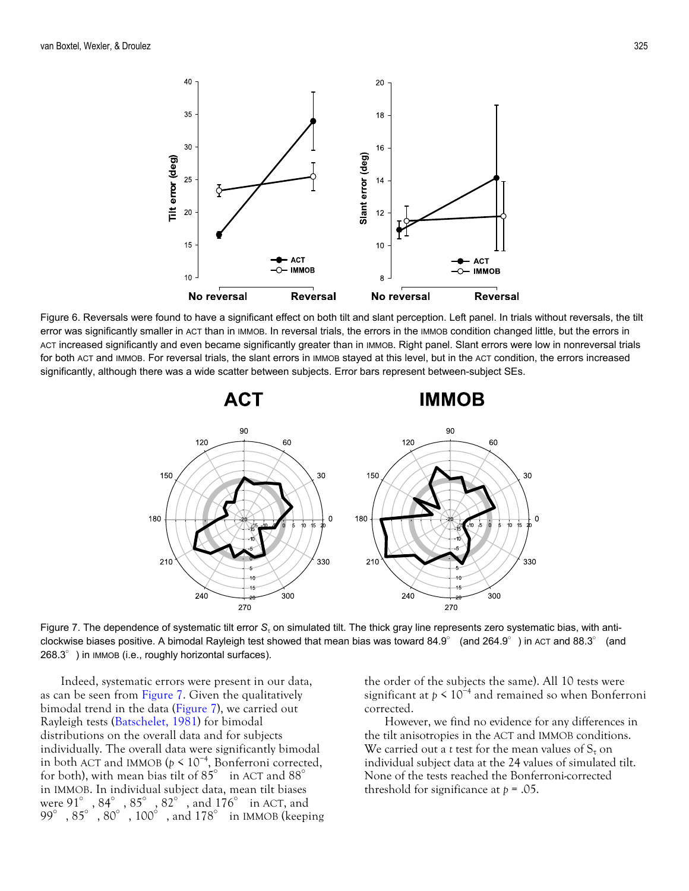<span id="page-7-0"></span>

Figure 6. Reversals were found to have a significant effect on both tilt and slant perception. Left panel. In trials without reversals, the tilt error was significantly smaller in ACT than in IMMOB. In reversal trials, the errors in the IMMOB condition changed little, but the errors in ACT increased significantly and even became significantly greater than in IMMOB. Right panel. Slant errors were low in nonreversal trials for both ACT and IMMOB. For reversal trials, the slant errors in IMMOB stayed at this level, but in the ACT condition, the errors increased significantly, although there was a wide scatter between subjects. Error bars represent between-subject SEs.



Figure 7. The dependence of systematic tilt error *S*τ on simulated tilt. The thick gray line represents zero systematic bias, with anticlockwise biases positive. A bimodal Rayleigh test showed that mean bias was toward  $84.9^\circ$  (and  $264.9^\circ$ ) in ACT and  $88.3^\circ$  (and 268.3°) in IMMOB (i.e., roughly horizontal surfaces).

Indeed, systematic errors were present in our data, as can be seen from Figure 7. Given the qualitatively bimodal trend in the data (Figure 7), we carried out Rayleigh tests [\(Batschelet, 1981](#page-13-0)) for bimodal distributions on the overall data and for subjects individually. The overall data were significantly bimodal in both ACT and IMMOB (*p* < 10<sup>−</sup><sup>4</sup> , Bonferroni corrected, for both), with mean bias tilt of 85° in ACT and 88° in IMMOB. In individual subject data, mean tilt biases were  $91^\circ$  ,  $84^\circ$  ,  $85^\circ$  ,  $82^\circ$  , and  $176^\circ$  in ACT, and 99 $^{\circ}\,$  , 85 $^{\circ}\,$  , 80 $^{\circ}\,$  , 100 $^{\circ}\,$  , and 178 $^{\circ}\,$  in IMMOB (keeping the order of the subjects the same). All 10 tests were significant at  $p \leq 10^{-4}$  and remained so when Bonferroni corrected.

However, we find no evidence for any differences in the tilt anisotropies in the ACT and IMMOB conditions. We carried out a *t* test for the mean values of  $S_t$  on individual subject data at the 24 values of simulated tilt. None of the tests reached the Bonferroni-corrected threshold for significance at *p* = .05.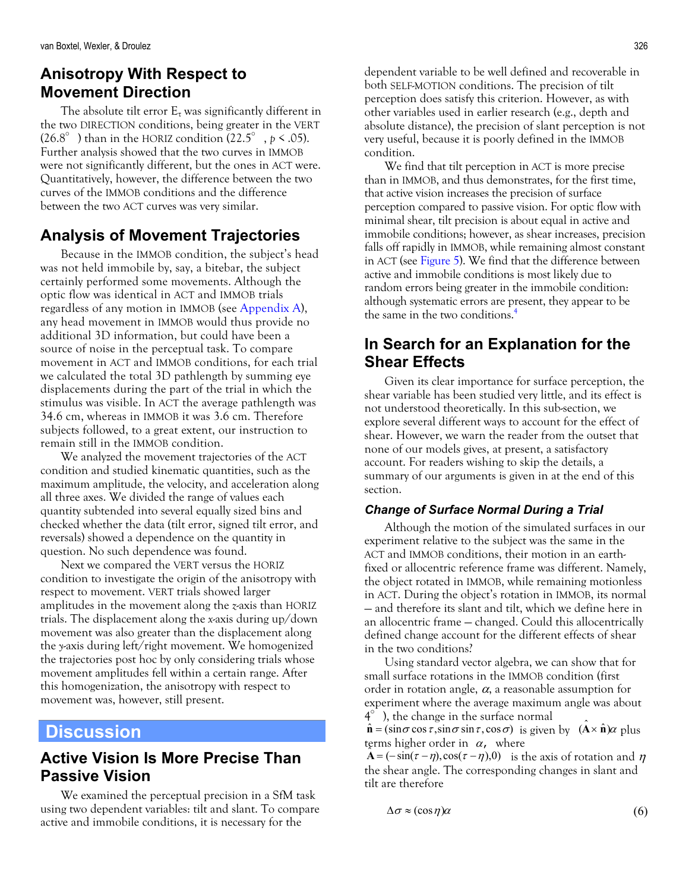# <span id="page-8-0"></span>**Anisotropy With Respect to Movement Direction**

The absolute tilt error  $E_{\tau}$  was significantly different in the two DIRECTION conditions, being greater in the VERT (26.8°) than in the HORIZ condition (22.5°,  $p \le 0.05$ ). Further analysis showed that the two curves in IMMOB were not significantly different, but the ones in ACT were. Quantitatively, however, the difference between the two curves of the IMMOB conditions and the difference between the two ACT curves was very similar.

# **Analysis of Movement Trajectories**

Because in the IMMOB condition, the subject's head was not held immobile by, say, a bitebar, the subject certainly performed some movements. Although the optic flow was identical in ACT and IMMOB trials regardless of any motion in IMMOB (see [Appendix A](#page-11-0)), any head movement in IMMOB would thus provide no additional 3D information, but could have been a source of noise in the perceptual task. To compare movement in ACT and IMMOB conditions, for each trial we calculated the total 3D pathlength by summing eye displacements during the part of the trial in which the stimulus was visible. In ACT the average pathlength was 34.6 cm, whereas in IMMOB it was 3.6 cm. Therefore subjects followed, to a great extent, our instruction to remain still in the IMMOB condition.

We analyzed the movement trajectories of the ACT condition and studied kinematic quantities, such as the maximum amplitude, the velocity, and acceleration along all three axes. We divided the range of values each quantity subtended into several equally sized bins and checked whether the data (tilt error, signed tilt error, and reversals) showed a dependence on the quantity in question. No such dependence was found.

Next we compared the VERT versus the HORIZ condition to investigate the origin of the anisotropy with respect to movement. VERT trials showed larger amplitudes in the movement along the *z*-axis than HORIZ trials. The displacement along the *x*-axis during up/down movement was also greater than the displacement along the *y*-axis during left/right movement. We homogenized the trajectories post hoc by only considering trials whose movement amplitudes fell within a certain range. After this homogenization, the anisotropy with respect to movement was, however, still present.

# **Discussion**

# **Active Vision Is More Precise Than Passive Vision**

We examined the perceptual precision in a SfM task using two dependent variables: tilt and slant. To compare active and immobile conditions, it is necessary for the

dependent variable to be well defined and recoverable in both SELF-MOTION conditions. The precision of tilt perception does satisfy this criterion. However, as with other variables used in earlier research (e.g., depth and absolute distance), the precision of slant perception is not very useful, because it is poorly defined in the IMMOB condition.

We find that tilt perception in ACT is more precise than in IMMOB, and thus demonstrates, for the first time, that active vision increases the precision of surface perception compared to passive vision. For optic flow with minimal shear, tilt precision is about equal in active and immobile conditions; however, as shear increases, precision falls off rapidly in IMMOB, while remaining almost constant in ACT (see [Figure 5](#page-6-0)). We find that the difference between active and immobile conditions is most likely due to random errors being greater in the immobile condition: although systematic errors are present, they appear to be the same in the two conditions.<sup>[4](#page-13-0)</sup>

# **In Search for an Explanation for the Shear Effects**

Given its clear importance for surface perception, the shear variable has been studied very little, and its effect is not understood theoretically. In this sub-section, we explore several different ways to account for the effect of shear. However, we warn the reader from the outset that none of our models gives, at present, a satisfactory account. For readers wishing to skip the details, a summary of our arguments is given in at the end of this section.

#### *Change of Surface Normal During a Trial*

Although the motion of the simulated surfaces in our experiment relative to the subject was the same in the ACT and IMMOB conditions, their motion in an earthfixed or allocentric reference frame was different. Namely, the object rotated in IMMOB, while remaining motionless in ACT. During the object's rotation in IMMOB, its normal — and therefore its slant and tilt, which we define here in an allocentric frame — changed. Could this allocentrically defined change account for the different effects of shear in the two conditions?

Using standard vector algebra, we can show that for small surface rotations in the IMMOB condition (first order in rotation angle,  $\alpha$ , a reasonable assumption for experiment where the average maximum angle was about 4°), the change in the surface normal  $\hat{\mathbf{n}} = (\sin \sigma \cos \tau, \sin \sigma \sin \tau, \cos \sigma)$  is given by  $(\hat{\mathbf{A}} \times \hat{\mathbf{n}}) \alpha$  plus terms higher order in  $\alpha$ , where

 $\overline{A} = (-\sin(\tau - \eta), \cos(\tau - \eta), 0)$  is the axis of rotation and  $\eta$ the shear angle. The corresponding changes in slant and tilt are therefore

$$
\Delta \sigma \approx (\cos \eta) \alpha \tag{6}
$$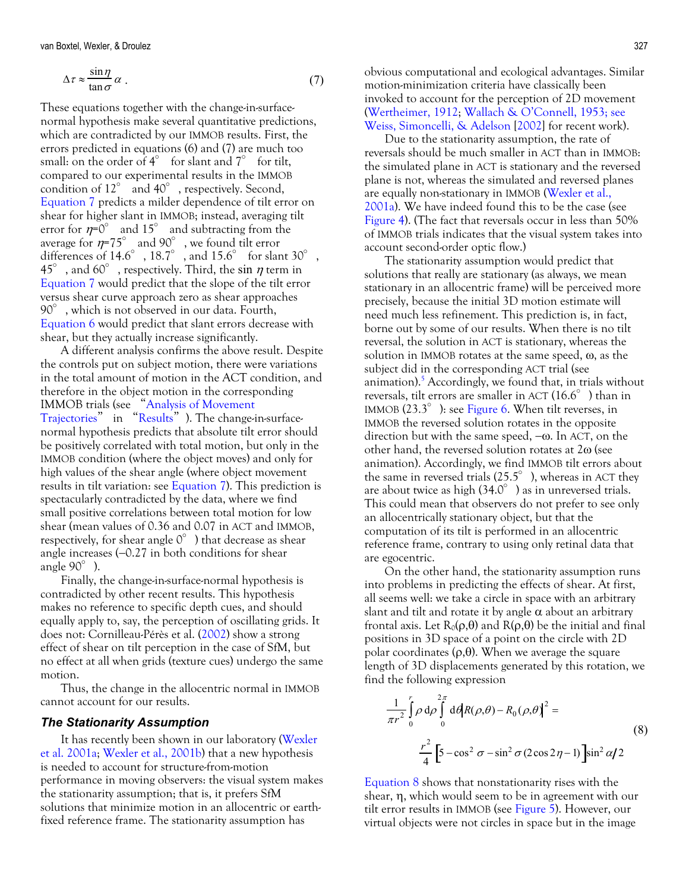$$
\Delta \tau \approx \frac{\sin \eta}{\tan \sigma} \alpha \tag{7}
$$

These equations together with the change-in-surfacenormal hypothesis make several quantitative predictions, which are contradicted by our IMMOB results. First, the errors predicted in equations (6) and (7) are much too small: on the order of  $4^\circ$  for slant and  $7^\circ$  for tilt, compared to our experimental results in the IMMOB condition of 12° and 40°, respectively. Second, Equation 7 predicts a milder dependence of tilt error on shear for higher slant in IMMOB; instead, averaging tilt error for  $\eta = 0^\circ$  and  $15^\circ$  and subtracting from the average for  $\eta$ =75° and 90°, we found tilt error differences of  $14.6^{\circ}$  ,  $18.7^{\circ}$  , and  $15.6^{\circ}$  for slant  $30^{\circ}$  ,  $45^{\circ}$ , and  $60^{\circ}$ , respectively. Third, the sin  $\eta$  term in Equation 7 would predict that the slope of the tilt error versus shear curve approach zero as shear approaches 90°, which is not observed in our data. Fourth, Equation 6 would predict that slant errors decrease with shear, but they actually increase significantly.

A different analysis confirms the above result. Despite the controls put on subject motion, there were variations in the total amount of motion in the ACT condition, and therefore in the object motion in the corresponding IMMOB trials (see "[Analysis of Movement](#page-8-0)  [Trajectories](#page-8-0)" in "[Results](#page-4-0)"). The change-in-surfacenormal hypothesis predicts that absolute tilt error should be positively correlated with total motion, but only in the IMMOB condition (where the object moves) and only for high values of the shear angle (where object movement results in tilt variation: see Equation 7). This prediction is spectacularly contradicted by the data, where we find small positive correlations between total motion for low shear (mean values of 0.36 and 0.07 in ACT and IMMOB, respectively, for shear angle  $0^{\circ}$ ) that decrease as shear angle increases (−0.27 in both conditions for shear angle 90°).

Finally, the change-in-surface-normal hypothesis is contradicted by other recent results. This hypothesis makes no reference to specific depth cues, and should equally apply to, say, the perception of oscillating grids. It does not: Cornilleau-Pérès et al. [\(2002](#page-13-0)) show a strong effect of shear on tilt perception in the case of SfM, but no effect at all when grids (texture cues) undergo the same motion.

Thus, the change in the allocentric normal in IMMOB cannot account for our results.

#### *The Stationarity Assumption*

It has recently been shown in our laboratory ([Wexler](#page-14-0)  et al. [2001a](#page-14-0); [Wexler et al.,](#page-14-0) 2001b) that a new hypothesis is needed to account for structure-from-motion performance in moving observers: the visual system makes the stationarity assumption; that is, it prefers SfM solutions that minimize motion in an allocentric or earthfixed reference frame. The stationarity assumption has

obvious computational and ecological advantages. Similar motion-minimization criteria have classically been invoked to account for the perception of 2D movement [\(Wertheimer, 1912](#page-14-0); [Wallach & O'Connell, 1953;](#page-14-0) see Weiss, Simoncelli, & Adelson [[2002\]](#page-14-0) for recent work).

Due to the stationarity assumption, the rate of reversals should be much smaller in ACT than in IMMOB: the simulated plane in ACT is stationary and the reversed plane is not, whereas the simulated and reversed planes are equally non-stationary in IMMOB [\(Wexler et al.,](#page-14-0)  [2001](#page-14-0)a). We have indeed found this to be the case (see [Figure 4\)](#page-5-0). (The fact that reversals occur in less than 50% of IMMOB trials indicates that the visual system takes into account second-order optic flow.)

The stationarity assumption would predict that solutions that really are stationary (as always, we mean stationary in an allocentric frame) will be perceived more precisely, because the initial 3D motion estimate will need much less refinement. This prediction is, in fact, borne out by some of our results. When there is no tilt reversal, the solution in ACT is stationary, whereas the solution in IMMOB rotates at the same speed, ω, as the subject did in the corresponding ACT trial (see animation).<sup>5</sup> Accordingly, we found that, in trials without reversals, tilt errors are smaller in ACT  $(16.6^\circ)$  than in IMMOB  $(23.3^{\circ})$ : see [Figure 6.](#page-7-0) When tilt reverses, in IMMOB the reversed solution rotates in the opposite direction but with the same speed, −ω. In ACT, on the other hand, the reversed solution rotates at 2ω (see animation). Accordingly, we find IMMOB tilt errors about the same in reversed trials  $(25.5^{\circ})$ , whereas in ACT they are about twice as high  $(34.0^\circ)$  as in unreversed trials. This could mean that observers do not prefer to see only an allocentrically stationary object, but that the computation of its tilt is performed in an allocentric reference frame, contrary to using only retinal data that are egocentric.

On the other hand, the stationarity assumption runs into problems in predicting the effects of shear. At first, all seems well: we take a circle in space with an arbitrary slant and tilt and rotate it by angle  $\alpha$  about an arbitrary frontal axis. Let  $R_0(\rho,\theta)$  and  $R(\rho,\theta)$  be the initial and final positions in 3D space of a point on the circle with 2D polar coordinates  $(ρ,θ)$ . When we average the square length of 3D displacements generated by this rotation, we find the following expression

$$
\frac{1}{\pi r^2} \int_0^r \rho \, d\rho \int_0^{2\pi} d\theta R(\rho, \theta) - R_0(\rho, \theta)^2 =
$$
\n
$$
\frac{r^2}{4} \left[ 5 - \cos^2 \sigma - \sin^2 \sigma (2\cos 2\eta - 1) \right] \sin^2 \alpha / 2
$$
\n(8)

Equation 8 shows that nonstationarity rises with the shear, η, which would seem to be in agreement with our tilt error results in IMMOB (see [Figure 5](#page-6-0)). However, our virtual objects were not circles in space but in the image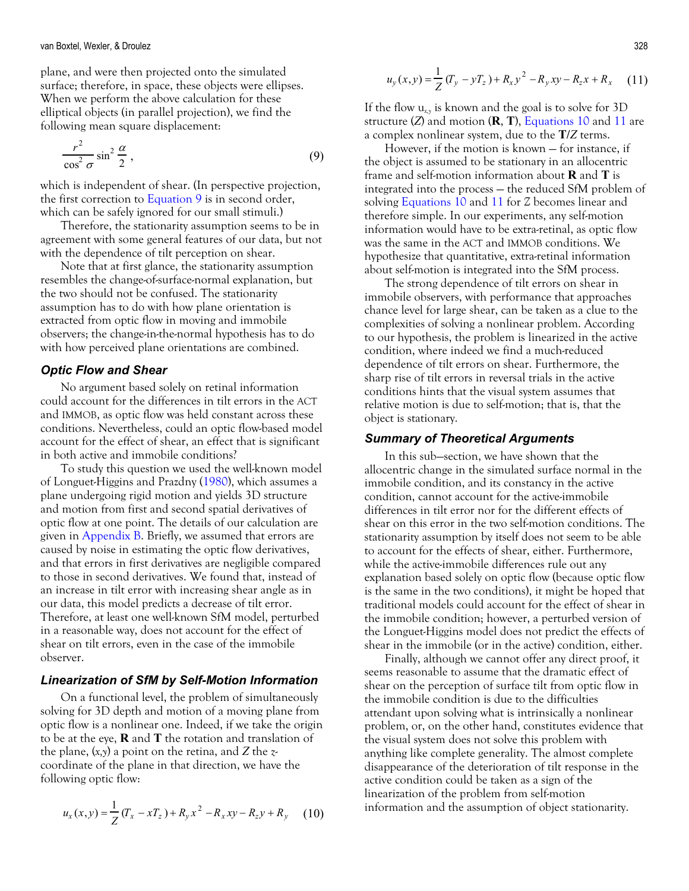<span id="page-10-0"></span>plane, and were then projected onto the simulated surface; therefore, in space, these objects were ellipses. When we perform the above calculation for these elliptical objects (in parallel projection), we find the following mean square displacement:

$$
\frac{r^2}{\cos^2 \sigma} \sin^2 \frac{\alpha}{2},\tag{9}
$$

which is independent of shear. (In perspective projection, the first correction to Equation 9 is in second order, which can be safely ignored for our small stimuli.)

Therefore, the stationarity assumption seems to be in agreement with some general features of our data, but not with the dependence of tilt perception on shear.

Note that at first glance, the stationarity assumption resembles the change-of-surface-normal explanation, but the two should not be confused. The stationarity assumption has to do with how plane orientation is extracted from optic flow in moving and immobile observers; the change-in-the-normal hypothesis has to do with how perceived plane orientations are combined.

#### *Optic Flow and Shear*

No argument based solely on retinal information could account for the differences in tilt errors in the ACT and IMMOB, as optic flow was held constant across these conditions. Nevertheless, could an optic flow-based model account for the effect of shear, an effect that is significant in both active and immobile conditions?

To study this question we used the well-known model of Longuet-Higgins and Prazdny [\(1980](#page-14-0)), which assumes a plane undergoing rigid motion and yields 3D structure and motion from first and second spatial derivatives of optic flow at one point. The details of our calculation are given in Appendix B. Briefly, we assumed that errors are caused by noise in estimating the optic flow derivatives, and that errors in first derivatives are negligible compared to those in second derivatives. We found that, instead of an increase in tilt error with increasing shear angle as in our data, this model predicts a decrease of tilt error. Therefore, at least one well-known SfM model, perturbed in a reasonable way, does not account for the effect of shear on tilt errors, even in the case of the immobile observer. Finally, although we cannot offer any direct proof, it

#### *Linearization of SfM by Self-Motion Information*

On a functional level, the problem of simultaneously solving for 3D depth and motion of a moving plane from optic flow is a nonlinear one. Indeed, if we take the origin to be at the eye, **R** and **T** the rotation and translation of the plane, (*x,y*) a point on the retina, and *Z* the *z*coordinate of the plane in that direction, we have the following optic flow:

$$
u_x(x,y) = \frac{1}{Z}(T_x - xT_z) + R_y x^2 - R_x xy - R_z y + R_y
$$
 (10)

$$
u_y(x,y) = \frac{1}{Z}(T_y - yT_z) + R_x y^2 - R_y xy - R_z x + R_x \quad (11)
$$

If the flow  $u_{xx}$  is known and the goal is to solve for  $3D$ structure (*Z*) and motion (**R**, **T**), Equations 10 and 11 are a complex nonlinear system, due to the **T/***Z* terms.

However, if the motion is known — for instance, if the object is assumed to be stationary in an allocentric frame and self-motion information about **R** and **T** is integrated into the process — the reduced SfM problem of solving Equations 10 and 11 for *Z* becomes linear and therefore simple. In our experiments, any self-motion information would have to be extra-retinal, as optic flow was the same in the ACT and IMMOB conditions. We hypothesize that quantitative, extra-retinal information about self-motion is integrated into the SfM process.

The strong dependence of tilt errors on shear in immobile observers, with performance that approaches chance level for large shear, can be taken as a clue to the complexities of solving a nonlinear problem. According to our hypothesis, the problem is linearized in the active condition, where indeed we find a much-reduced dependence of tilt errors on shear. Furthermore, the sharp rise of tilt errors in reversal trials in the active conditions hints that the visual system assumes that relative motion is due to self-motion; that is, that the object is stationary.

#### *Summary of Theoretical Arguments*

In this sub—section, we have shown that the allocentric change in the simulated surface normal in the immobile condition, and its constancy in the active condition, cannot account for the active-immobile differences in tilt error nor for the different effects of shear on this error in the two self-motion conditions. The stationarity assumption by itself does not seem to be able to account for the effects of shear, either. Furthermore, while the active-immobile differences rule out any explanation based solely on optic flow (because optic flow is the same in the two conditions), it might be hoped that traditional models could account for the effect of shear in the immobile condition; however, a perturbed version of the Longuet-Higgins model does not predict the effects of shear in the immobile (or in the active) condition, either.

seems reasonable to assume that the dramatic effect of shear on the perception of surface tilt from optic flow in the immobile condition is due to the difficulties attendant upon solving what is intrinsically a nonlinear problem, or, on the other hand, constitutes evidence that the visual system does not solve this problem with anything like complete generality. The almost complete disappearance of the deterioration of tilt response in the active condition could be taken as a sign of the linearization of the problem from self-motion information and the assumption of object stationarity.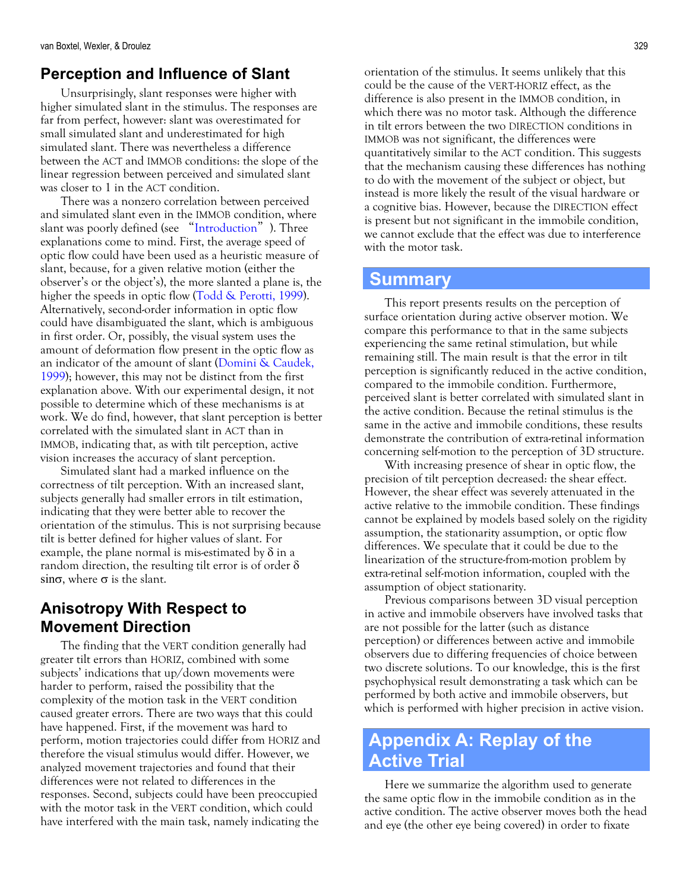# <span id="page-11-0"></span>**Perception and Influence of Slant**

Unsurprisingly, slant responses were higher with higher simulated slant in the stimulus. The responses are far from perfect, however: slant was overestimated for small simulated slant and underestimated for high simulated slant. There was nevertheless a difference between the ACT and IMMOB conditions: the slope of the linear regression between perceived and simulated slant was closer to 1 in the ACT condition.

There was a nonzero correlation between perceived and simulated slant even in the IMMOB condition, where slant was poorly defined (see "Introduction"). Three explanations come to mind. First, the average speed of optic flow could have been used as a heuristic measure of slant, because, for a given relative motion (either the observer's or the object's), the more slanted a plane is, the higher the speeds in optic flow (Todd & Perotti, 1999). Alternatively, second-order information in optic flow could have disambiguated the slant, which is ambiguous in first order. Or, possibly, the visual system uses the amount of deformation flow present in the optic flow as an indicator of the amount of slant (Domini & Caudek, 1999); however, this may not be distinct from the first explanation above. With our experimental design, it not possible to determine which of these mechanisms is at work. We do find, however, that slant perception is better correlated with the simulated slant in ACT than in IMMOB, indicating that, as with tilt perception, active vision increases the accuracy of slant perception.

Simulated slant had a marked influence on the correctness of tilt perception. With an increased slant, subjects generally had smaller errors in tilt estimation, indicating that they were better able to recover the orientation of the stimulus. This is not surprising because tilt is better defined for higher values of slant. For example, the plane normal is mis-estimated by  $\delta$  in a random direction, the resulting tilt error is of order δ sinσ, where σ is the slant.

# **Anisotropy With Respect to Movement Direction**

The finding that the VERT condition generally had greater tilt errors than HORIZ, combined with some subjects' indications that up/down movements were harder to perform, raised the possibility that the complexity of the motion task in the VERT condition caused greater errors. There are two ways that this could have happened. First, if the movement was hard to perform, motion trajectories could differ from HORIZ and therefore the visual stimulus would differ. However, we analyzed movement trajectories and found that their differences were not related to differences in the responses. Second, subjects could have been preoccupied with the motor task in the VERT condition, which could have interfered with the main task, namely indicating the

orientation of the stimulus. It seems unlikely that this could be the cause of the VERT-HORIZ effect, as the difference is also present in the IMMOB condition, in which there was no motor task. Although the difference in tilt errors between the two DIRECTION conditions in IMMOB was not significant, the differences were quantitatively similar to the ACT condition. This suggests that the mechanism causing these differences has nothing to do with the movement of the subject or object, but instead is more likely the result of the visual hardware or a cognitive bias. However, because the DIRECTION effect is present but not significant in the immobile condition, we cannot exclude that the effect was due to interference with the motor task.

## **Summary**

This report presents results on the perception of surface orientation during active observer motion. We compare this performance to that in the same subjects experiencing the same retinal stimulation, but while remaining still. The main result is that the error in tilt perception is significantly reduced in the active condition, compared to the immobile condition. Furthermore, perceived slant is better correlated with simulated slant in the active condition. Because the retinal stimulus is the same in the active and immobile conditions, these results demonstrate the contribution of extra-retinal information concerning self-motion to the perception of 3D structure.

With increasing presence of shear in optic flow, the precision of tilt perception decreased: the shear effect. However, the shear effect was severely attenuated in the active relative to the immobile condition. These findings cannot be explained by models based solely on the rigidity assumption, the stationarity assumption, or optic flow differences. We speculate that it could be due to the linearization of the structure-from-motion problem by extra-retinal self-motion information, coupled with the assumption of object stationarity.

Previous comparisons between 3D visual perception in active and immobile observers have involved tasks that are not possible for the latter (such as distance perception) or differences between active and immobile observers due to differing frequencies of choice between two discrete solutions. To our knowledge, this is the first psychophysical result demonstrating a task which can be performed by both active and immobile observers, but which is performed with higher precision in active vision.

# **Appendix A: Replay of the Active Trial**

Here we summarize the algorithm used to generate the same optic flow in the immobile condition as in the active condition. The active observer moves both the head and eye (the other eye being covered) in order to fixate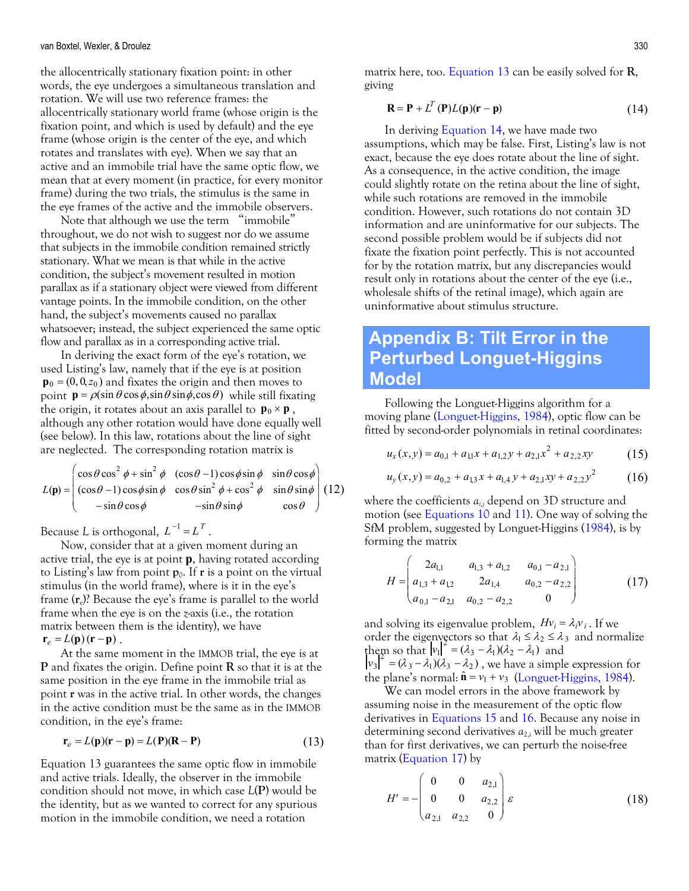#### <span id="page-12-0"></span>van Boxtel, Wexler, & Droulez 330

the allocentrically stationary fixation point: in other words, the eye undergoes a simultaneous translation and rotation. We will use two reference frames: the allocentrically stationary world frame (whose origin is the fixation point, and which is used by default) and the eye frame (whose origin is the center of the eye, and which rotates and translates with eye). When we say that an active and an immobile trial have the same optic flow, we mean that at every moment (in practice, for every monitor frame) during the two trials, the stimulus is the same in the eye frames of the active and the immobile observers.

Note that although we use the term "immobile" throughout, we do not wish to suggest nor do we assume that subjects in the immobile condition remained strictly stationary. What we mean is that while in the active condition, the subject's movement resulted in motion parallax as if a stationary object were viewed from different vantage points. In the immobile condition, on the other hand, the subject's movements caused no parallax whatsoever; instead, the subject experienced the same optic flow and parallax as in a corresponding active trial.

In deriving the exact form of the eye's rotation, we used Listing's law, namely that if the eye is at position  $\mathbf{p}_0 = (0, 0, z_0)$  and fixates the origin and then moves to point  $\mathbf{p} = \rho(\sin \theta \cos \phi, \sin \theta \sin \phi, \cos \theta)$  while still fixating the origin, it rotates about an axis parallel to  $\mathbf{p}_0 \times \mathbf{p}$ , although any other rotation would have done equally well (see below). In this law, rotations about the line of sight are neglected. The corresponding rotation matrix is

$$
L(\mathbf{p}) = \begin{pmatrix} \cos\theta\cos^2\phi + \sin^2\phi & (\cos\theta - 1)\cos\phi\sin\phi & \sin\theta\cos\phi \\ (\cos\theta - 1)\cos\phi\sin\phi & \cos\theta\sin^2\phi + \cos^2\phi & \sin\theta\sin\phi \\ -\sin\theta\cos\phi & -\sin\theta\sin\phi & \cos\theta \end{pmatrix} (12)
$$

Because *L* is orthogonal,  $L^{-1} = L^T$ .

Now, consider that at a given moment during an active trial, the eye is at point **p**, having rotated according to Listing's law from point  $p_0$ . If **r** is a point on the virtual stimulus (in the world frame), where is it in the eye's frame (**r**e)? Because the eye's frame is parallel to the world frame when the eye is on the *z*-axis (i.e., the rotation matrix between them is the identity), we have  $r_e = L(p)(r - p)$ .

At the same moment in the IMMOB trial, the eye is at **P** and fixates the origin. Define point **R** so that it is at the same position in the eye frame in the immobile trial as point **r** was in the active trial. In other words, the changes in the active condition must be the same as in the IMMOB condition, in the eye's frame:

$$
\mathbf{r}_e = L(\mathbf{p})(\mathbf{r} - \mathbf{p}) = L(\mathbf{P})(\mathbf{R} - \mathbf{P})
$$
\n(13)

Equation 13 guarantees the same optic flow in immobile and active trials. Ideally, the observer in the immobile condition should not move, in which case *L*(**P**) would be the identity, but as we wanted to correct for any spurious motion in the immobile condition, we need a rotation

matrix here, too. Equation 13 can be easily solved for **R**, giving

$$
\mathbf{R} = \mathbf{P} + L^T (\mathbf{P}) L(\mathbf{p}) (\mathbf{r} - \mathbf{p})
$$
 (14)

In deriving Equation 14, we have made two assumptions, which may be false. First, Listing's law is not exact, because the eye does rotate about the line of sight. As a consequence, in the active condition, the image could slightly rotate on the retina about the line of sight, while such rotations are removed in the immobile condition. However, such rotations do not contain 3D information and are uninformative for our subjects. The second possible problem would be if subjects did not fixate the fixation point perfectly. This is not accounted for by the rotation matrix, but any discrepancies would result only in rotations about the center of the eye (i.e., wholesale shifts of the retinal image), which again are uninformative about stimulus structure.

# **Appendix B: Tilt Error in the Perturbed Longuet-Higgins Model**

Following the Longuet-Higgins algorithm for a moving plane (Longuet-Higgins, 1984), optic flow can be fitted by second-order polynomials in retinal coordinates:

$$
u_x(x,y) = a_{0,1} + a_{1,1}x + a_{1,2}y + a_{2,1}x^2 + a_{2,2}xy
$$
 (15)

$$
u_y(x,y) = a_{0,2} + a_{1,3}x + a_{1,4}y + a_{2,1}xy + a_{2,2}y^2
$$
 (16)

where the coefficients  $a_{i,j}$  depend on 3D structure and motion (see [Equations 10](#page-10-0) and [11](#page-10-0)). One way of solving the SfM problem, suggested by Longuet-Higgins (1984), is by forming the matrix

$$
H = \begin{pmatrix} 2a_{1,1} & a_{1,3} + a_{1,2} & a_{0,1} - a_{2,1} \\ a_{1,3} + a_{1,2} & 2a_{1,4} & a_{0,2} - a_{2,2} \\ a_{0,1} - a_{2,1} & a_{0,2} - a_{2,2} & 0 \end{pmatrix}
$$
 (17)

and solving its eigenvalue problem,  $Hv_i = \lambda_i v_i$ . If we order the eigenvectors so that  $\lambda_1 \leq \lambda_2 \leq \lambda_3$  and normalize them so that  $|v_1|^2 = (\lambda_3 - \lambda_1)(\lambda_2 - \lambda_1)$  and  $v_3$ <sup> $\zeta = (\lambda_3 - \lambda_1)(\lambda_3 - \lambda_2)$ , we have a simple expression for</sup> the plane's normal:  $\hat{\mathbf{n}} = v_1 + v_3$  [\(Longuet-Higgins, 1984\)](#page-14-0).

We can model errors in the above framework by assuming noise in the measurement of the optic flow derivatives in Equations 15 and 16. Because any noise in determining second derivatives *a*2,i will be much greater than for first derivatives, we can perturb the noise-free matrix (Equation 17) by

$$
H' = -\begin{pmatrix} 0 & 0 & a_{2,1} \\ 0 & 0 & a_{2,2} \\ a_{2,1} & a_{2,2} & 0 \end{pmatrix} \varepsilon
$$
 (18)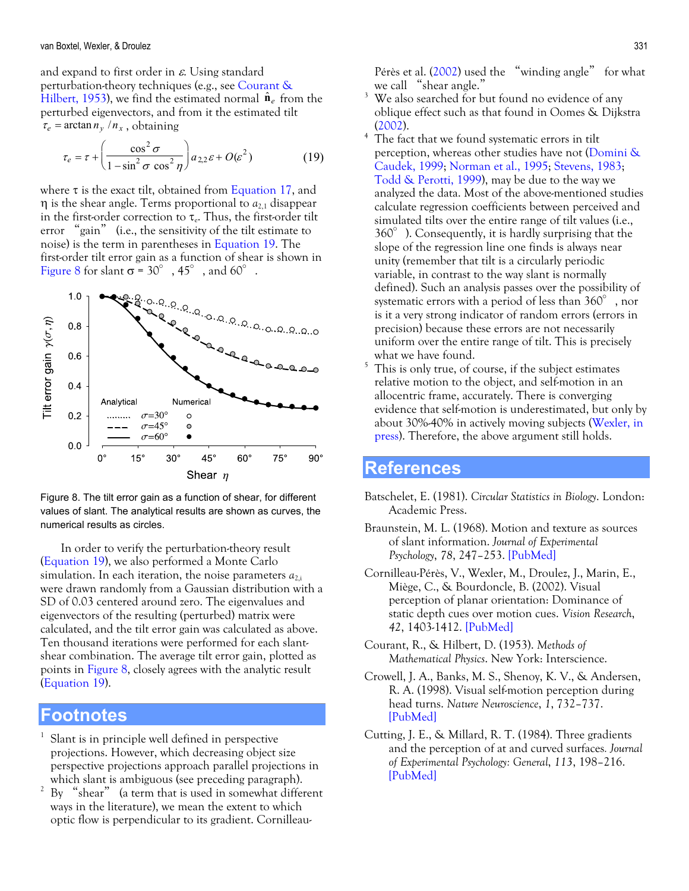<span id="page-13-0"></span>and expand to first order in  $\varepsilon$ . Using standard perturbation-theory techniques (e.g., see Courant & Hilbert, 1953), we find the estimated normal  $\hat{\mathbf{n}}_e$  from the perturbed eigenvectors, and from it the estimated tilt  $\tau_e$  = arctan  $n_y/n_x$ , obtaining

$$
\tau_e = \tau + \left(\frac{\cos^2 \sigma}{1 - \sin^2 \sigma \cos^2 \eta}\right) a_{2,2} \varepsilon + O(\varepsilon^2)
$$
(19)

where  $\tau$  is the exact tilt, obtained from [Equation 17](#page-12-0), and  $\eta$  is the shear angle. Terms proportional to  $a_{2,1}$  disappear in the first-order correction to  $\tau_e$ . Thus, the first-order tilt error "gain" (i.e., the sensitivity of the tilt estimate to noise) is the term in parentheses in Equation 19. The first-order tilt error gain as a function of shear is shown in Figure 8 for slant  $\sigma = 30^\circ$ , 45°, and 60°.



Figure 8. The tilt error gain as a function of shear, for different values of slant. The analytical results are shown as curves, the numerical results as circles.

In order to verify the perturbation-theory result (Equation 19), we also performed a Monte Carlo simulation. In each iteration, the noise parameters  $a_{2,i}$ were drawn randomly from a Gaussian distribution with a SD of 0.03 centered around zero. The eigenvalues and eigenvectors of the resulting (perturbed) matrix were calculated, and the tilt error gain was calculated as above. Ten thousand iterations were performed for each slantshear combination. The average tilt error gain, plotted as points in Figure 8, closely agrees with the analytic result (Equation 19).

#### **Footnotes**

- 1 Slant is in principle well defined in perspective projections. However, which decreasing object size perspective projections approach parallel projections in which slant is ambiguous (see preceding paragraph).
- By "shear" (a term that is used in somewhat different ways in the literature), we mean the extent to which optic flow is perpendicular to its gradient. Cornilleau-

Pérès et al. (2002) used the "winding angle" for what we call "shear angle."

- 3 We also searched for but found no evidence of any oblique effect such as that found in Oomes & Dijkstra [\(2002](#page-14-0)).
- 4 The fact that we found systematic errors in tilt perception, whereas other studies have not [\(Domini &](#page-14-0)  [Caudek, 1999](#page-14-0); [Norman et al., 1995](#page-14-0); [Stevens, 1983;](#page-14-0) [Todd & Perotti, 1999](#page-14-0)), may be due to the way we analyzed the data. Most of the above-mentioned studies calculate regression coefficients between perceived and simulated tilts over the entire range of tilt values (i.e., 360°). Consequently, it is hardly surprising that the slope of the regression line one finds is always near unity (remember that tilt is a circularly periodic variable, in contrast to the way slant is normally defined). Such an analysis passes over the possibility of systematic errors with a period of less than 360°, nor is it a very strong indicator of random errors (errors in precision) because these errors are not necessarily uniform over the entire range of tilt. This is precisely what we have found.
- 5 This is only true, of course, if the subject estimates relative motion to the object, and self-motion in an allocentric frame, accurately. There is converging evidence that self-motion is underestimated, but only by about 30%-40% in actively moving subjects [\(Wexler, in](#page-14-0)  [press](#page-14-0)). Therefore, the above argument still holds.

## **References**

- Batschelet, E. (1981). *Circular Statistics in Biology*. London: Academic Press.
- Braunstein, M. L. (1968). Motion and texture as sources of slant information. *Journal of Experimental Psychology*, *78*, 247–253. [\[PubMed\]](http://www.ncbi.nlm.nih.gov:80/entrez/query.fcgi?cmd=Retrieve&db=PubMed&list_uids=5722437&dopt=Abstract)
- Cornilleau-Pérès, V., Wexler, M., Droulez, J., Marin, E., Miège, C., & Bourdoncle, B. (2002). Visual perception of planar orientation: Dominance of static depth cues over motion cues. *Vision Research*, *42*, 1403-1412. [\[PubMed\]](http://www.ncbi.nlm.nih.gov/entrez/query.fcgi?cmd=Retrieve&db=PubMed&list_uids=12044746&dopt=Abstract)
- Courant, R., & Hilbert, D. (1953). *Methods of Mathematical Physics*. New York: Interscience.
- Crowell, J. A., Banks, M. S., Shenoy, K. V., & Andersen, R. A. (1998). Visual self-motion perception during head turns. *Nature Neuroscience*, *1*, 732–737. [\[PubMed\]](http://www.ncbi.nlm.nih.gov:80/entrez/query.fcgi?cmd=Retrieve&db=PubMed&list_uids=10196591&dopt=Abstract)
- Cutting, J. E., & Millard, R. T. (1984). Three gradients and the perception of at and curved surfaces*. Journal of Experimental Psychology: General*, *113*, 198–216. [\[PubMed\]](http://www.ncbi.nlm.nih.gov:80/entrez/query.fcgi?cmd=Retrieve&db=PubMed&list_uids=6242750&dopt=Abstract)